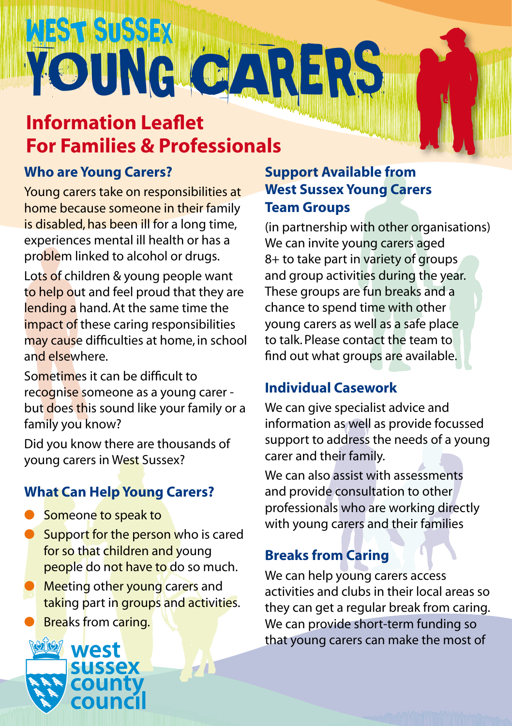# WEST SUSSEX YOUNG CARRERS

# **Information Leaflet For Families & Professionals**

# **Who are Young Carers?**

Young carers take on responsibilities at home because someone in their family is disabled, has been ill for a long time, experiences mental ill health or has a problem linked to alcohol or drugs.

Lots of children & young people want to help out and feel proud that they are lending a hand. At the same time the impact of these caring responsibilities may cause difficulties at home, in school and elsewhere.

Sometimes it can be difficult to recognise someone as a young carer but does this sound like your family or a family you know?

Did you know there are thousands of young carers in West Sussex?

# **What Can Help Young Carers?**

- Someone to speak to
- Support for the person who is cared for so that children and young people do not have to do so much.
- **Meeting other young carers and** taking part in groups and activities.
- **Breaks from caring.**



# **Support Available from West Sussex Young Carers Team Groups**

(in partnership with other organisations) We can invite young carers aged 8+ to take part in variety of groups and group activities during the year. These groups are fun breaks and a chance to spend time with other young carers as well as a safe place to talk. Please contact the team to find out what groups are available.

# **Individual Casework**

We can give specialist advice and information as well as provide focussed support to address the needs of a young carer and their family.

We can also assist with assessments and provide consultation to other professionals who are working directly with young carers and their families

# **Breaks from Caring**

We can help young carers access activities and clubs in their local areas so they can get a regular break from caring. We can provide short-term funding so that young carers can make the most of